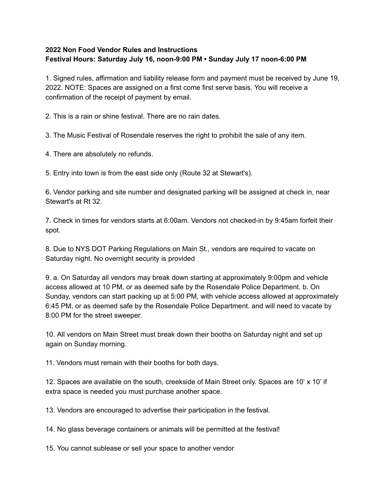## **2022 Non Food Vendor Rules and Instructions Festival Hours: Saturday July 16, noon-9:00 PM • Sunday July 17 noon-6:00 PM**

1. Signed rules, affirmation and liability release form and payment must be received by June 19, 2022. NOTE: Spaces are assigned on a first come first serve basis. You will receive a confirmation of the receipt of payment by email.

2. This is a rain or shine festival. There are no rain dates.

3. The Music Festival of Rosendale reserves the right to prohibit the sale of any item.

4. There are absolutely no refunds.

5. Entry into town is from the east side only (Route 32 at Stewart's).

6. Vendor parking and site number and designated parking will be assigned at check in, near Stewart's at Rt 32.

7. Check in times for vendors starts at 6:00am. Vendors not checked-in by 9:45am forfeit their spot.

8. Due to NYS DOT Parking Regulations on Main St., vendors are required to vacate on Saturday night. No overnight security is provided

9. a. On Saturday all vendors may break down starting at approximately 9:00pm and vehicle access allowed at 10 PM, or as deemed safe by the Rosendale Police Department. b. On Sunday, vendors can start packing up at 5:00 PM, with vehicle access allowed at approximately 6:45 PM, or as deemed safe by the Rosendale Police Department. and will need to vacate by 8:00 PM for the street sweeper.

10. All vendors on Main Street must break down their booths on Saturday night and set up again on Sunday morning.

11. Vendors must remain with their booths for both days.

12. Spaces are available on the south, creekside of Main Street only. Spaces are 10' x 10' if extra space is needed you must purchase another space.

13. Vendors are encouraged to advertise their participation in the festival.

14. No glass beverage containers or animals will be permitted at the festival!

15. You cannot sublease or sell your space to another vendor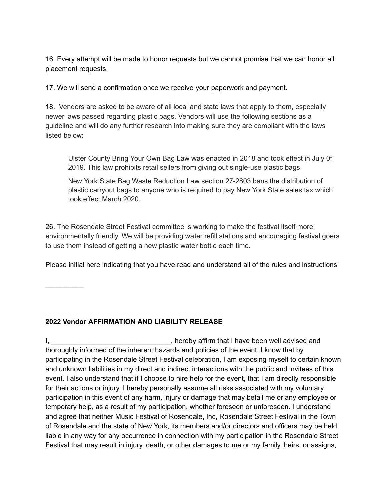16. Every attempt will be made to honor requests but we cannot promise that we can honor all placement requests.

17. We will send a confirmation once we receive your paperwork and payment.

18. Vendors are asked to be aware of all local and state laws that apply to them, especially newer laws passed regarding plastic bags. Vendors will use the following sections as a guideline and will do any further research into making sure they are compliant with the laws listed below:

Ulster County Bring Your Own Bag Law was enacted in 2018 and took effect in July 0f 2019. This law prohibits retail sellers from giving out single-use plastic bags.

New York State Bag Waste Reduction Law section 27-2803 bans the distribution of plastic carryout bags to anyone who is required to pay New York State sales tax which took effect March 2020.

26. The Rosendale Street Festival committee is working to make the festival itself more environmentally friendly. We will be providing water refill stations and encouraging festival goers to use them instead of getting a new plastic water bottle each time.

Please initial here indicating that you have read and understand all of the rules and instructions

## **2022 Vendor AFFIRMATION AND LIABILITY RELEASE**

 $\frac{1}{2}$ 

I,  $\qquad \qquad$  \_\_\_\_\_\_\_\_\_\_\_\_\_\_\_\_\_\_\_\_\_\_\_\_\_\_\_\_, hereby affirm that I have been well advised and thoroughly informed of the inherent hazards and policies of the event. I know that by participating in the Rosendale Street Festival celebration, I am exposing myself to certain known and unknown liabilities in my direct and indirect interactions with the public and invitees of this event. I also understand that if I choose to hire help for the event, that I am directly responsible for their actions or injury. I hereby personally assume all risks associated with my voluntary participation in this event of any harm, injury or damage that may befall me or any employee or temporary help, as a result of my participation, whether foreseen or unforeseen. I understand and agree that neither Music Festival of Rosendale, Inc, Rosendale Street Festival in the Town of Rosendale and the state of New York, its members and/or directors and officers may be held liable in any way for any occurrence in connection with my participation in the Rosendale Street Festival that may result in injury, death, or other damages to me or my family, heirs, or assigns,